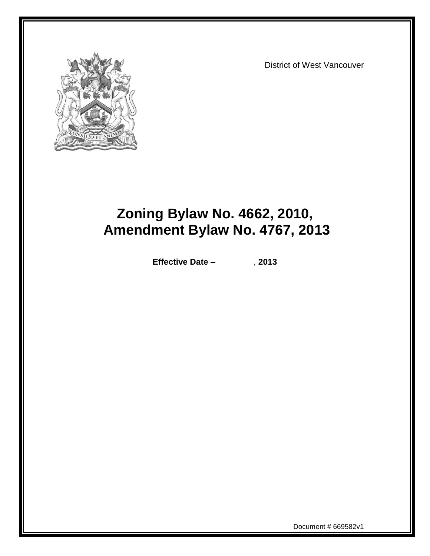

District of West Vancouver

# **Zoning Bylaw No. 4662, 2010, Amendment Bylaw No. 4767, 2013**

**Effective Date –** , **2013**

Document # 669582v1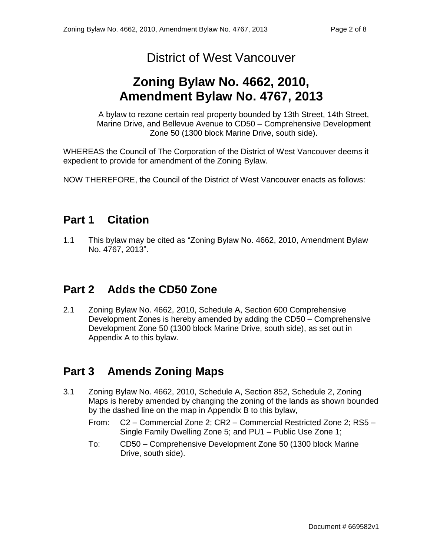## District of West Vancouver

# **Zoning Bylaw No. 4662, 2010, Amendment Bylaw No. 4767, 2013**

A bylaw to rezone certain real property bounded by 13th Street, 14th Street, Marine Drive, and Bellevue Avenue to CD50 – Comprehensive Development Zone 50 (1300 block Marine Drive, south side).

WHEREAS the Council of The Corporation of the District of West Vancouver deems it expedient to provide for amendment of the Zoning Bylaw.

NOW THEREFORE, the Council of the District of West Vancouver enacts as follows:

### **Part 1 Citation**

1.1 This bylaw may be cited as "Zoning Bylaw No. 4662, 2010, Amendment Bylaw No. 4767, 2013".

### **Part 2 Adds the CD50 Zone**

2.1 Zoning Bylaw No. 4662, 2010, Schedule A, Section 600 Comprehensive Development Zones is hereby amended by adding the CD50 – Comprehensive Development Zone 50 (1300 block Marine Drive, south side), as set out in Appendix A to this bylaw.

### **Part 3 Amends Zoning Maps**

- 3.1 Zoning Bylaw No. 4662, 2010, Schedule A, Section 852, Schedule 2, Zoning Maps is hereby amended by changing the zoning of the lands as shown bounded by the dashed line on the map in Appendix B to this bylaw,
	- From: C2 Commercial Zone 2; CR2 Commercial Restricted Zone 2; RS5 Single Family Dwelling Zone 5; and PU1 – Public Use Zone 1;
	- To: CD50 Comprehensive Development Zone 50 (1300 block Marine Drive, south side).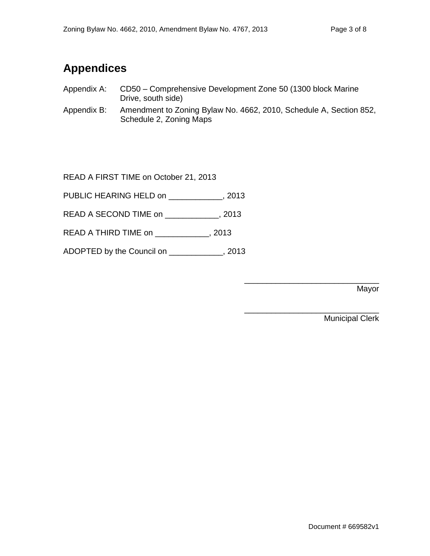## **Appendices**

- Appendix A: CD50 Comprehensive Development Zone 50 (1300 block Marine Drive, south side)
- Appendix B: Amendment to Zoning Bylaw No. 4662, 2010, Schedule A, Section 852, Schedule 2, Zoning Maps

READ A FIRST TIME on October 21, 2013

PUBLIC HEARING HELD on \_\_\_\_\_\_\_\_\_\_\_\_, 2013

READ A SECOND TIME on \_\_\_\_\_\_\_\_\_\_\_\_, 2013

READ A THIRD TIME on \_\_\_\_\_\_\_\_\_\_\_\_, 2013

ADOPTED by the Council on \_\_\_\_\_\_\_\_\_\_\_\_, 2013

\_\_\_\_\_\_\_\_\_\_\_\_\_\_\_\_\_\_\_\_\_\_\_\_\_\_\_\_\_\_ Mayor

\_\_\_\_\_\_\_\_\_\_\_\_\_\_\_\_\_\_\_\_\_\_\_\_\_\_\_\_\_\_ Municipal Clerk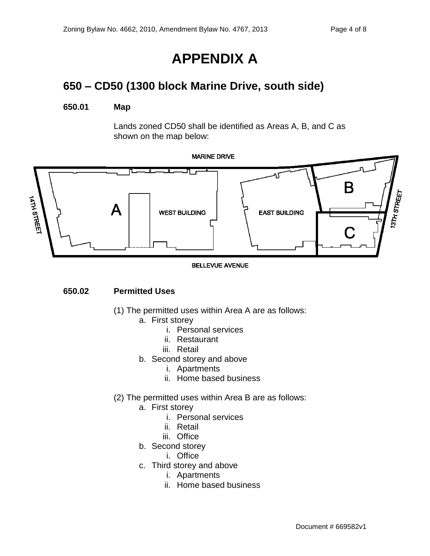# **APPENDIX A**

## **650 – CD50 (1300 block Marine Drive, south side)**

#### **650.01 Map**

Lands zoned CD50 shall be identified as Areas A, B, and C as shown on the map below:



#### **BELLEVUE AVENUE**

#### **650.02 Permitted Uses**

- (1) The permitted uses within Area A are as follows:
	- a. First storey
		- i. Personal services
		- ii. Restaurant
		- iii. Retail
	- b. Second storey and above
		- i. Apartments
		- ii. Home based business
- (2) The permitted uses within Area B are as follows:
	- a. First storey
		- i. Personal services
		- ii. Retail
		- iii. Office
	- b. Second storey
		- i. Office
	- c. Third storey and above
		- i. Apartments
		- ii. Home based business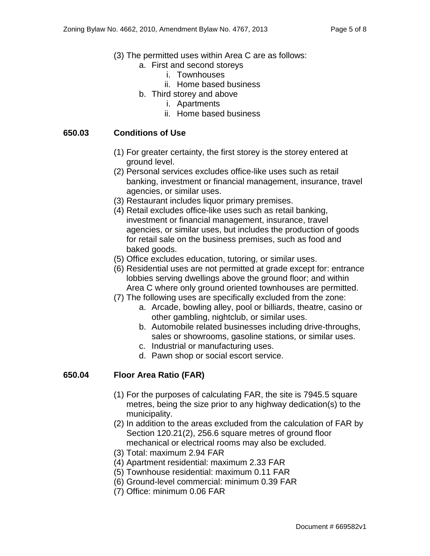- (3) The permitted uses within Area C are as follows:
	- a. First and second storeys
		- i. Townhouses
		- ii. Home based business
	- b. Third storey and above
		- i. Apartments
		- ii. Home based business

#### **650.03 Conditions of Use**

- (1) For greater certainty, the first storey is the storey entered at ground level.
- (2) Personal services excludes office-like uses such as retail banking, investment or financial management, insurance, travel agencies, or similar uses.
- (3) Restaurant includes liquor primary premises.
- (4) Retail excludes office-like uses such as retail banking, investment or financial management, insurance, travel agencies, or similar uses, but includes the production of goods for retail sale on the business premises, such as food and baked goods.
- (5) Office excludes education, tutoring, or similar uses.
- (6) Residential uses are not permitted at grade except for: entrance lobbies serving dwellings above the ground floor; and within Area C where only ground oriented townhouses are permitted.
- (7) The following uses are specifically excluded from the zone:
	- a. Arcade, bowling alley, pool or billiards, theatre, casino or other gambling, nightclub, or similar uses.
	- b. Automobile related businesses including drive-throughs, sales or showrooms, gasoline stations, or similar uses.
	- c. Industrial or manufacturing uses.
	- d. Pawn shop or social escort service.

#### **650.04 Floor Area Ratio (FAR)**

- (1) For the purposes of calculating FAR, the site is 7945.5 square metres, being the size prior to any highway dedication(s) to the municipality.
- (2) In addition to the areas excluded from the calculation of FAR by Section 120.21(2), 256.6 square metres of ground floor mechanical or electrical rooms may also be excluded.
- (3) Total: maximum 2.94 FAR
- (4) Apartment residential: maximum 2.33 FAR
- (5) Townhouse residential: maximum 0.11 FAR
- (6) Ground-level commercial: minimum 0.39 FAR
- (7) Office: minimum 0.06 FAR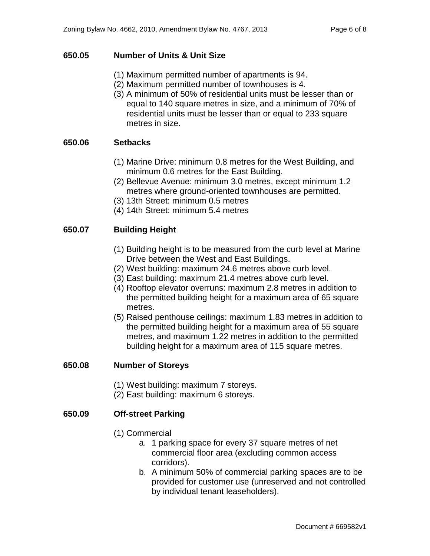#### **650.05 Number of Units & Unit Size**

- (1) Maximum permitted number of apartments is 94.
- (2) Maximum permitted number of townhouses is 4.
- (3) A minimum of 50% of residential units must be lesser than or equal to 140 square metres in size, and a minimum of 70% of residential units must be lesser than or equal to 233 square metres in size.

#### **650.06 Setbacks**

- (1) Marine Drive: minimum 0.8 metres for the West Building, and minimum 0.6 metres for the East Building.
- (2) Bellevue Avenue: minimum 3.0 metres, except minimum 1.2 metres where ground-oriented townhouses are permitted.
- (3) 13th Street: minimum 0.5 metres
- (4) 14th Street: minimum 5.4 metres

#### **650.07 Building Height**

- (1) Building height is to be measured from the curb level at Marine Drive between the West and East Buildings.
- (2) West building: maximum 24.6 metres above curb level.
- (3) East building: maximum 21.4 metres above curb level.
- (4) Rooftop elevator overruns: maximum 2.8 metres in addition to the permitted building height for a maximum area of 65 square metres.
- (5) Raised penthouse ceilings: maximum 1.83 metres in addition to the permitted building height for a maximum area of 55 square metres, and maximum 1.22 metres in addition to the permitted building height for a maximum area of 115 square metres.

#### **650.08 Number of Storeys**

- (1) West building: maximum 7 storeys.
- (2) East building: maximum 6 storeys.

#### **650.09 Off-street Parking**

- (1) Commercial
	- a. 1 parking space for every 37 square metres of net commercial floor area (excluding common access corridors).
	- b. A minimum 50% of commercial parking spaces are to be provided for customer use (unreserved and not controlled by individual tenant leaseholders).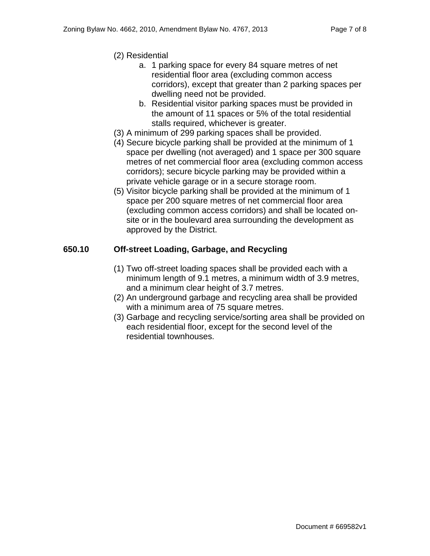- (2) Residential
	- a. 1 parking space for every 84 square metres of net residential floor area (excluding common access corridors), except that greater than 2 parking spaces per dwelling need not be provided.
	- b. Residential visitor parking spaces must be provided in the amount of 11 spaces or 5% of the total residential stalls required, whichever is greater.
- (3) A minimum of 299 parking spaces shall be provided.
- (4) Secure bicycle parking shall be provided at the minimum of 1 space per dwelling (not averaged) and 1 space per 300 square metres of net commercial floor area (excluding common access corridors); secure bicycle parking may be provided within a private vehicle garage or in a secure storage room.
- (5) Visitor bicycle parking shall be provided at the minimum of 1 space per 200 square metres of net commercial floor area (excluding common access corridors) and shall be located onsite or in the boulevard area surrounding the development as approved by the District.

#### **650.10 Off-street Loading, Garbage, and Recycling**

- (1) Two off-street loading spaces shall be provided each with a minimum length of 9.1 metres, a minimum width of 3.9 metres, and a minimum clear height of 3.7 metres.
- (2) An underground garbage and recycling area shall be provided with a minimum area of 75 square metres.
- (3) Garbage and recycling service/sorting area shall be provided on each residential floor, except for the second level of the residential townhouses.